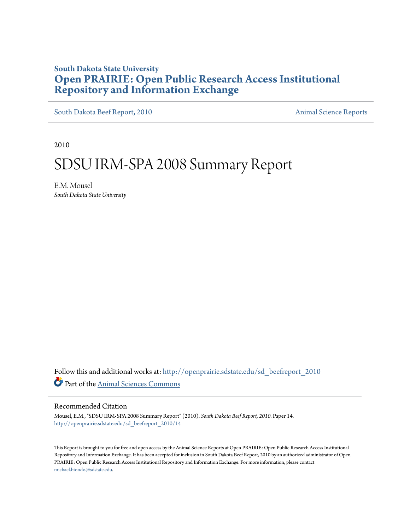# **South Dakota State University [Open PRAIRIE: Open Public Research Access Institutional](http://openprairie.sdstate.edu?utm_source=openprairie.sdstate.edu%2Fsd_beefreport_2010%2F14&utm_medium=PDF&utm_campaign=PDFCoverPages) [Repository and Information Exchange](http://openprairie.sdstate.edu?utm_source=openprairie.sdstate.edu%2Fsd_beefreport_2010%2F14&utm_medium=PDF&utm_campaign=PDFCoverPages)**

[South Dakota Beef Report, 2010](http://openprairie.sdstate.edu/sd_beefreport_2010?utm_source=openprairie.sdstate.edu%2Fsd_beefreport_2010%2F14&utm_medium=PDF&utm_campaign=PDFCoverPages) [Animal Science Reports](http://openprairie.sdstate.edu/ans_reports?utm_source=openprairie.sdstate.edu%2Fsd_beefreport_2010%2F14&utm_medium=PDF&utm_campaign=PDFCoverPages)

2010

# SDSU IRM‐SPA 2008 Summary Report

E.M. Mousel *South Dakota State University*

Follow this and additional works at: [http://openprairie.sdstate.edu/sd\\_beefreport\\_2010](http://openprairie.sdstate.edu/sd_beefreport_2010?utm_source=openprairie.sdstate.edu%2Fsd_beefreport_2010%2F14&utm_medium=PDF&utm_campaign=PDFCoverPages) Part of the [Animal Sciences Commons](http://network.bepress.com/hgg/discipline/76?utm_source=openprairie.sdstate.edu%2Fsd_beefreport_2010%2F14&utm_medium=PDF&utm_campaign=PDFCoverPages)

#### Recommended Citation

Mousel, E.M., "SDSU IRM‐SPA 2008 Summary Report" (2010). *South Dakota Beef Report, 2010.* Paper 14. [http://openprairie.sdstate.edu/sd\\_beefreport\\_2010/14](http://openprairie.sdstate.edu/sd_beefreport_2010/14?utm_source=openprairie.sdstate.edu%2Fsd_beefreport_2010%2F14&utm_medium=PDF&utm_campaign=PDFCoverPages)

This Report is brought to you for free and open access by the Animal Science Reports at Open PRAIRIE: Open Public Research Access Institutional Repository and Information Exchange. It has been accepted for inclusion in South Dakota Beef Report, 2010 by an authorized administrator of Open PRAIRIE: Open Public Research Access Institutional Repository and Information Exchange. For more information, please contact [michael.biondo@sdstate.edu](mailto:michael.biondo@sdstate.edu).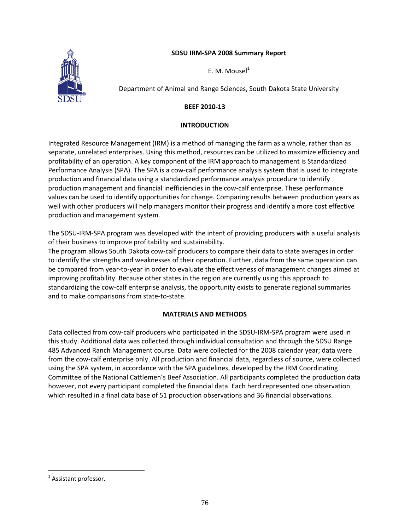### **SDSU IRM‐SPA 2008 Summary Report**



E. M. Mousel $<sup>1</sup>$ </sup>

Department of Animal and Range Sciences, South Dakota State University

# **BEEF 2010‐13**

# **INTRODUCTION**

Integrated Resource Management (IRM) is a method of managing the farm as a whole, rather than as separate, unrelated enterprises. Using this method, resources can be utilized to maximize efficiency and profitability of an operation. A key component of the IRM approach to management is Standardized Performance Analysis (SPA). The SPA is a cow‐calf performance analysis system that is used to integrate production and financial data using a standardized performance analysis procedure to identify production management and financial inefficiencies in the cow‐calf enterprise. These performance values can be used to identify opportunities for change. Comparing results between production years as well with other producers will help managers monitor their progress and identify a more cost effective production and management system.

The SDSU‐IRM‐SPA program was developed with the intent of providing producers with a useful analysis of their business to improve profitability and sustainability.

The program allows South Dakota cow‐calf producers to compare their data to state averages in order to identify the strengths and weaknesses of their operation. Further, data from the same operation can be compared from year-to-year in order to evaluate the effectiveness of management changes aimed at improving profitability. Because other states in the region are currently using this approach to standardizing the cow‐calf enterprise analysis, the opportunity exists to generate regional summaries and to make comparisons from state‐to‐state.

### **MATERIALS AND METHODS**

Data collected from cow-calf producers who participated in the SDSU-IRM-SPA program were used in this study. Additional data was collected through individual consultation and through the SDSU Range 485 Advanced Ranch Management course. Data were collected for the 2008 calendar year; data were from the cow-calf enterprise only. All production and financial data, regardless of source, were collected using the SPA system, in accordance with the SPA guidelines, developed by the IRM Coordinating Committee of the National Cattlemen's Beef Association. All participants completed the production data however, not every participant completed the financial data. Each herd represented one observation which resulted in a final data base of 51 production observations and 36 financial observations.

 $\overline{a}$ 

<sup>&</sup>lt;sup>1</sup> Assistant professor.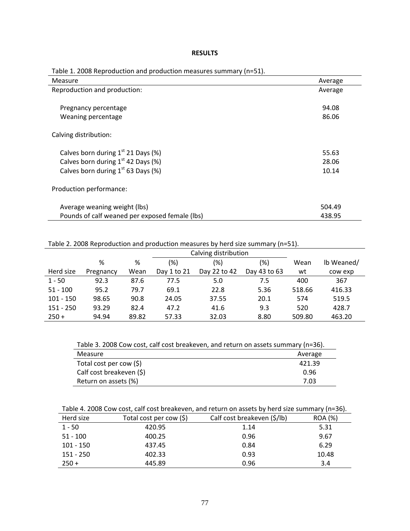#### **RESULTS**

| $\cdots$                                       |         |
|------------------------------------------------|---------|
| Measure                                        | Average |
| Reproduction and production:                   | Average |
|                                                |         |
| Pregnancy percentage                           | 94.08   |
| Weaning percentage                             | 86.06   |
|                                                |         |
| Calving distribution:                          |         |
|                                                |         |
| Calves born during $1st$ 21 Days (%)           | 55.63   |
| Calves born during $1st$ 42 Days (%)           | 28.06   |
| Calves born during $1st$ 63 Days (%)           | 10.14   |
|                                                |         |
| Production performance:                        |         |
|                                                |         |
| Average weaning weight (lbs)                   | 504.49  |
| Pounds of calf weaned per exposed female (lbs) | 438.95  |

Table 1. 2008 Reproduction and production measures summary (n=51).

Table 2. 2008 Reproduction and production measures by herd size summary (n=51).

|             |           |       | Calving distribution |              |              |        |            |
|-------------|-----------|-------|----------------------|--------------|--------------|--------|------------|
|             | %         | %     | (%)                  | (%)          | (%)          | Wean   | lb Weaned/ |
| Herd size   | Pregnancy | Wean  | Day 1 to 21          | Day 22 to 42 | Day 43 to 63 | wt     | cow exp    |
| $1 - 50$    | 92.3      | 87.6  | 77.5                 | 5.0          | 7.5          | 400    | 367        |
| $51 - 100$  | 95.2      | 79.7  | 69.1                 | 22.8         | 5.36         | 518.66 | 416.33     |
| $101 - 150$ | 98.65     | 90.8  | 24.05                | 37.55        | 20.1         | 574    | 519.5      |
| $151 - 250$ | 93.29     | 82.4  | 47.2                 | 41.6         | 9.3          | 520    | 428.7      |
| $250 +$     | 94.94     | 89.82 | 57.33                | 32.03        | 8.80         | 509.80 | 463.20     |

Table 3. 2008 Cow cost, calf cost breakeven, and return on assets summary (n=36).

| Measure                    | Average |
|----------------------------|---------|
| Total cost per cow $(\xi)$ | 421.39  |
| Calf cost breakeven (\$)   | 0.96    |
| Return on assets (%)       | 7.03    |

Table 4. 2008 Cow cost, calf cost breakeven, and return on assets by herd size summary (n=36).

| Herd size   | Total cost per cow (\$) | Calf cost breakeven (\$/lb) | <b>ROA</b> (%) |
|-------------|-------------------------|-----------------------------|----------------|
| $1 - 50$    | 420.95                  | 1.14                        | 5.31           |
| $51 - 100$  | 400.25                  | 0.96                        | 9.67           |
| $101 - 150$ | 437.45                  | 0.84                        | 6.29           |
| 151 - 250   | 402.33                  | 0.93                        | 10.48          |
| $250 +$     | 445.89                  | 0.96                        | 3.4            |